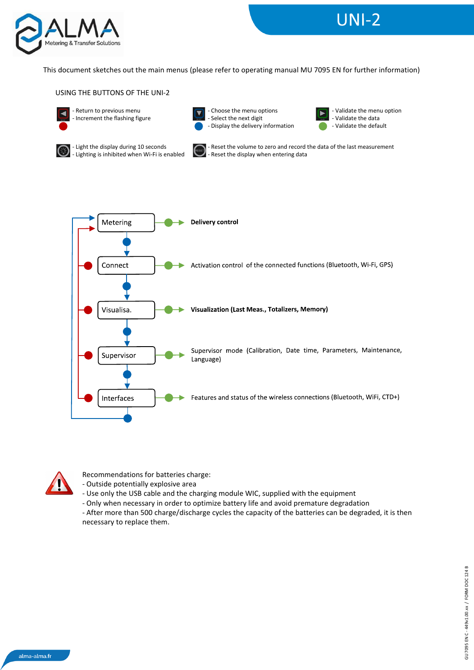

## This document sketches out the main menus (please refer to operating manual MU 7095 EN for further information)

USING THE BUTTONS OF THE UNI-2



- Return to previous menu - Increment the flashing figure



- Choose the menu options - Select the next digit - Display the delivery information



**UNI-2** 



- Light the display during 10 seconds - Lighting is inhibited when Wi-Fi is enabled



Reset the volume to zero and record the data of the last measurement - Reset the display when entering data





Recommendations for batteries charge:

- Outside potentially explosive area

- Use only the USB cable and the charging module WIC, supplied with the equipment
- Only when necessary in order to optimize battery life and avoid premature degradation

- After more than 500 charge/discharge cycles the capacity of the batteries can be degraded, it is then necessary to replace them.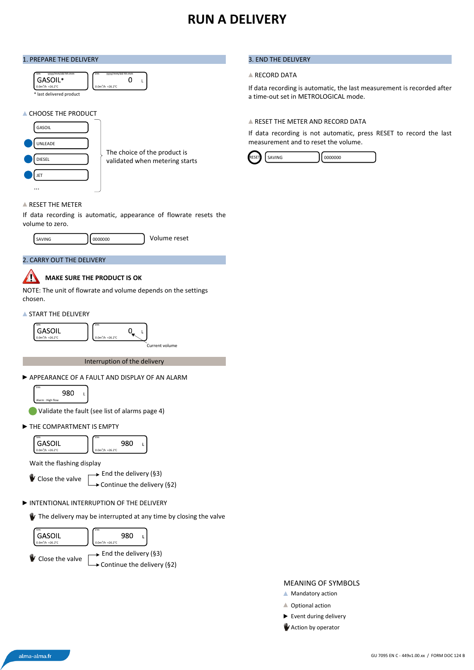## **RUN A DELIVERY**

#### 1. PREPARE THE DELIVERY

| yyyy/mm/dd hh:mm<br>Vm | yyyy/mm/dd hh:mm<br>۷m |
|------------------------|------------------------|
| GASOIL*                |                        |
| $0.0m^3/h$ +26.2°C     | $0.0m^3/h$ +26.2°C     |

#### **A CHOOSE THE PRODUCT**



The choice of the product is validated when metering starts

#### **A RESET THE METER**

If data recording is automatic, appearance of flowrate resets the volume to zero.

 $\mathbf 0$  $\mathbf{I}$ 





#### **MAKE SURE THE PRODUCT IS OK** 71

NOTE: The unit of flowrate and volume depends on the settings chosen.

**START THE DELIVERY** 



Interruption of the delivery

APPEARANCE OF A FAULT AND DISPLAY OF AN ALARM



Vm

Validate the fault (see list of alarms page 4)

THE COMPARTMENT IS EMPTY



Wait the flashing display

Close the valve

 $\rightarrow$  End the delivery (§3)

Continue the delivery  $(§2)$ 

### INTENTIONAL INTERRUPTION OF THE DELIVERY

The delivery may be interrupted at any time by closing the valve



#### 3. END THE DELIVERY

#### **A RECORD DATA**

If data recording is automatic, the last measurement is recorded after a time-out set in METROLOGICAL mode.

#### **A RESET THE METER AND RECORD DATA**

If data recording is not automatic, press RESET to record the last measurement and to reset the volume.



#### MEANING OF SYMBOLS

- **Mandatory action**
- ▲ Optional action
- Event during delivery
- **Action by operator**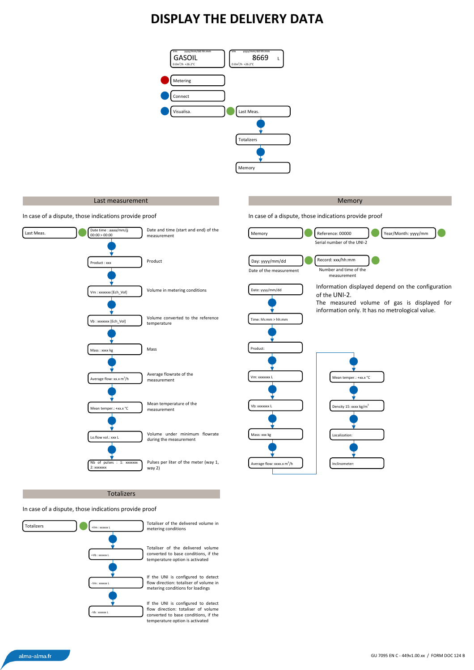## **DISPLAY THE DELIVERY DATA**



#### Last measurement and the contract of the contract of the contract of the contract of the contract of the contract of the contract of the contract of the contract of the contract of the contract of the contract of the contr

In case of a dispute, those indications provide proof



Totalizers

#### In case of a dispute, those indications provide proof



In case of a dispute, those indications provide proof

Average flow: xxxx.x m<sup>3</sup>/h